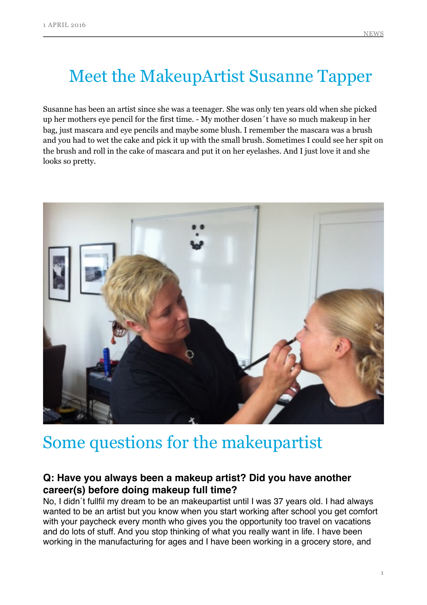# Meet the MakeupArtist Susanne Tapper

Susanne has been an artist since she was a teenager. She was only ten years old when she picked up her mothers eye pencil for the first time. - My mother dosen´t have so much makeup in her bag, just mascara and eye pencils and maybe some blush. I remember the mascara was a brush and you had to wet the cake and pick it up with the small brush. Sometimes I could see her spit on the brush and roll in the cake of mascara and put it on her eyelashes. And I just love it and she looks so pretty.



## Some questions for the makeupartist

#### **Q: Have you always been a makeup artist? Did you have another career(s) before doing makeup full time?**

No, I didn´t fullfil my dream to be an makeupartist until I was 37 years old. I had always wanted to be an artist but you know when you start working after school you get comfort with your paycheck every month who gives you the opportunity too travel on vacations and do lots of stuff. And you stop thinking of what you really want in life. I have been working in the manufacturing for ages and I have been working in a grocery store, and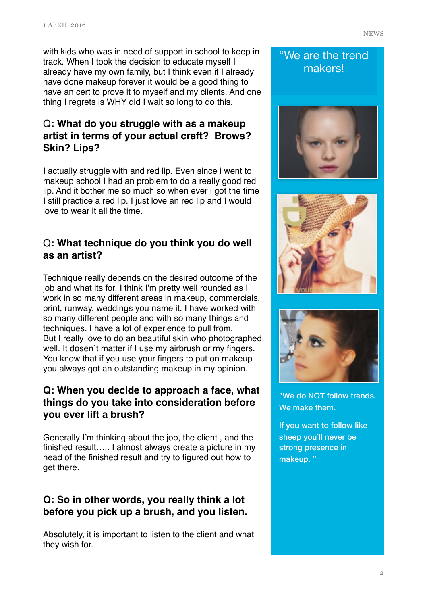with kids who was in need of support in school to keep in track. When I took the decision to educate myself I already have my own family, but I think even if I already have done makeup forever it would be a good thing to have an cert to prove it to myself and my clients. And one thing I regrets is WHY did I wait so long to do this.

## Q**: What do you struggle with as a makeup artist in terms of your actual craft? Brows? Skin? Lips?**

**I** actually struggle with and red lip. Even since i went to makeup school I had an problem to do a really good red lip. And it bother me so much so when ever i got the time I still practice a red lip. I just love an red lip and I would love to wear it all the time.

### Q**: What technique do you think you do well as an artist?**

Technique really depends on the desired outcome of the job and what its for. I think I'm pretty well rounded as I work in so many different areas in makeup, commercials, print, runway, weddings you name it. I have worked with so many different people and with so many things and techniques. I have a lot of experience to pull from. But I really love to do an beautiful skin who photographed well. It dosen´t matter if I use my airbrush or my fingers. You know that if you use your fingers to put on makeup you always got an outstanding makeup in my opinion.

#### **Q: When you decide to approach a face, what things do you take into consideration before you ever lift a brush?**

Generally I'm thinking about the job, the client , and the finished result….. I almost always create a picture in my head of the finished result and try to figured out how to get there.

### **Q: So in other words, you really think a lot before you pick up a brush, and you listen.**

Absolutely, it is important to listen to the client and what they wish for.

## "We are the trend

makers!







"We do NOT follow trends. We make them.

If you want to follow like sheep you´ll never be strong presence in makeup. "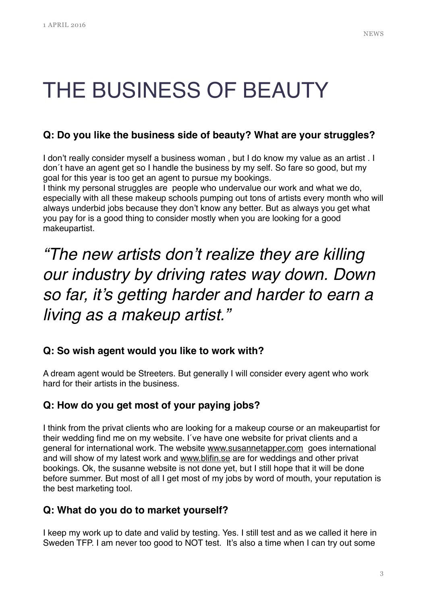# THE BUSINESS OF BEAUTY

#### **Q: Do you like the business side of beauty? What are your struggles?**

I don't really consider myself a business woman , but I do know my value as an artist . I don´t have an agent get so I handle the business by my self. So fare so good, but my goal for this year is too get an agent to pursue my bookings.

I think my personal struggles are people who undervalue our work and what we do, especially with all these makeup schools pumping out tons of artists every month who will always underbid jobs because they don't know any better. But as always you get what you pay for is a good thing to consider mostly when you are looking for a good makeupartist.

## *"The new artists don't realize they are killing our industry by driving rates way down. Down so far, it's getting harder and harder to earn a living as a makeup artist."*

#### **Q: So wish agent would you like to work with?**

A dream agent would be Streeters. But generally I will consider every agent who work hard for their artists in the business.

#### **Q: How do you get most of your paying jobs?**

I think from the privat clients who are looking for a makeup course or an makeupartist for their wedding find me on my website. I´ve have one website for privat clients and a general for international work. The website [www.susannetapper.com](http://www.susannetapper.com) goes international and will show of my latest work and [www.blifin.se](http://www.blifin.se) are for weddings and other privat bookings. Ok, the susanne website is not done yet, but I still hope that it will be done before summer. But most of all I get most of my jobs by word of mouth, your reputation is the best marketing tool.

#### **Q: What do you do to market yourself?**

I keep my work up to date and valid by testing. Yes. I still test and as we called it here in Sweden TFP. I am never too good to NOT test. It's also a time when I can try out some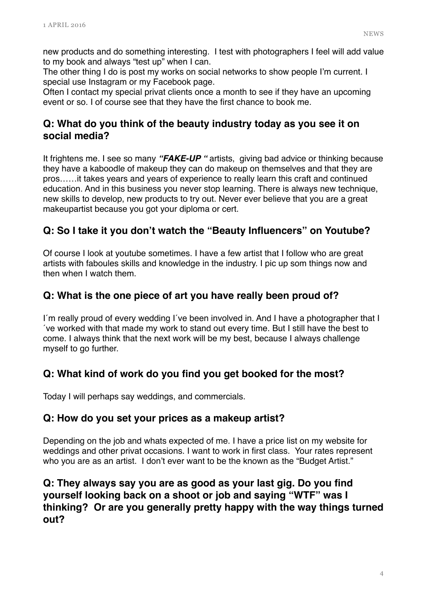new products and do something interesting. I test with photographers I feel will add value to my book and always "test up" when I can.

The other thing I do is post my works on social networks to show people I'm current. I special use Instagram or my Facebook page.

Often I contact my special privat clients once a month to see if they have an upcoming event or so. I of course see that they have the first chance to book me.

#### **Q: What do you think of the beauty industry today as you see it on social media?**

It frightens me. I see so many *"FAKE-UP "* artists, giving bad advice or thinking because they have a kaboodle of makeup they can do makeup on themselves and that they are pros……it takes years and years of experience to really learn this craft and continued education. And in this business you never stop learning. There is always new technique, new skills to develop, new products to try out. Never ever believe that you are a great makeupartist because you got your diploma or cert.

### **Q: So I take it you don't watch the "Beauty Influencers" on Youtube?**

Of course I look at youtube sometimes. I have a few artist that I follow who are great artists with faboules skills and knowledge in the industry. I pic up som things now and then when I watch them.

#### **Q: What is the one piece of art you have really been proud of?**

I´m really proud of every wedding I´ve been involved in. And I have a photographer that I ´ve worked with that made my work to stand out every time. But I still have the best to come. I always think that the next work will be my best, because I always challenge myself to go further.

#### **Q: What kind of work do you find you get booked for the most?**

Today I will perhaps say weddings, and commercials.

#### **Q: How do you set your prices as a makeup artist?**

Depending on the job and whats expected of me. I have a price list on my website for weddings and other privat occasions. I want to work in first class. Your rates represent who you are as an artist. I don't ever want to be the known as the "Budget Artist."

#### **Q: They always say you are as good as your last gig. Do you find yourself looking back on a shoot or job and saying "WTF" was I thinking? Or are you generally pretty happy with the way things turned out?**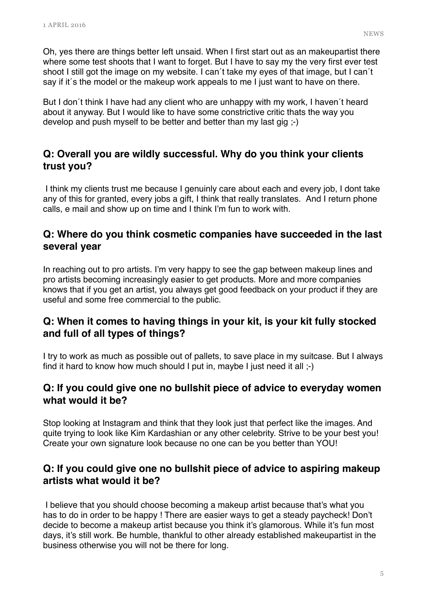Oh, yes there are things better left unsaid. When I first start out as an makeupartist there where some test shoots that I want to forget. But I have to say my the very first ever test shoot I still got the image on my website. I can´t take my eyes of that image, but I can´t say if it´s the model or the makeup work appeals to me I just want to have on there.

But I don´t think I have had any client who are unhappy with my work, I haven´t heard about it anyway. But I would like to have some constrictive critic thats the way you develop and push myself to be better and better than my last gig ;-)

#### **Q: Overall you are wildly successful. Why do you think your clients trust you?**

 I think my clients trust me because I genuinly care about each and every job, I dont take any of this for granted, every jobs a gift, I think that really translates. And I return phone calls, e mail and show up on time and I think I'm fun to work with.

#### **Q: Where do you think cosmetic companies have succeeded in the last several year**

In reaching out to pro artists. I'm very happy to see the gap between makeup lines and pro artists becoming increasingly easier to get products. More and more companies knows that if you get an artist, you always get good feedback on your product if they are useful and some free commercial to the public.

#### **Q: When it comes to having things in your kit, is your kit fully stocked and full of all types of things?**

I try to work as much as possible out of pallets, to save place in my suitcase. But I always find it hard to know how much should I put in, maybe I just need it all ;-)

#### **Q: If you could give one no bullshit piece of advice to everyday women what would it be?**

Stop looking at Instagram and think that they look just that perfect like the images. And quite trying to look like Kim Kardashian or any other celebrity. Strive to be your best you! Create your own signature look because no one can be you better than YOU!

#### **Q: If you could give one no bullshit piece of advice to aspiring makeup artists what would it be?**

 I believe that you should choose becoming a makeup artist because that's what you has to do in order to be happy ! There are easier ways to get a steady paycheck! Don't decide to become a makeup artist because you think it's glamorous. While it's fun most days, it's still work. Be humble, thankful to other already established makeupartist in the business otherwise you will not be there for long.